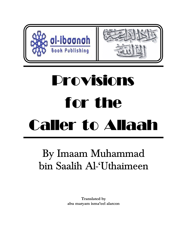

# Provisions for the Caller to Allaah

# By Imaam Muhammad bin Saalih Al-'Uthaimeen

**Translated by abu maryam isma'eel alarcon**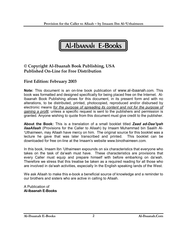

### **© Copyright Al-Ibaanah Book Publishing, USA Published On-Line for Free Distribution**

## **First Edition: February 2003**

**Note:** This document is an on-line book publication of www.al-ibaanah.com. This book was formatted and designed specifically for being placed free on the Internet. Al-Ibaanah Book Publishing allows for this document, in its present form and with no alterations, to be distributed, printed, photocopied, reproduced and/or disbursed by electronic means *for the purpose of spreading its content and not for the purpose of gaining a profit,* unless a specific request is sent to the publishers and permission is granted. Anyone wishing to quote from this document must give credit to the publisher.

**About the Book:** This is a translation of a small booklet titled *Zaad ad-Daa'iyah ilaaAllaah* (Provisions for the Caller to Allaah) by Imaam Muhammad bin Saalih Al- 'Uthaimeen, may Allaah have mercy on him. The original source for this booklet was a lecture he gave that was later transcribed and printed. This booklet can be downloaded for free on-line at the Imaam's website www.binothaimeen.com.

In this book, Imaam Ibn 'Uthaimeen expounds on six characteristics that everyone who takes on the task of da'wah must have. These characteristics are provisions that every Caller must equip and prepare himself with before embarking on da'wah. Therefore we stress that this treatise be taken as a required reading for all those who are involved in da'wah activities, especially In the English speaking lands of the West.

We ask Allaah to make this e-book a beneficial source of knowledge and a reminder to our brothers and sisters who are active in calling to Allaah.

A Publication of **Al-Ibaanah E-Books**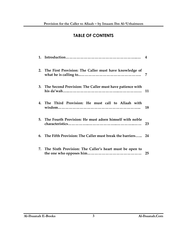# **TABLE OF CONTENTS**

| 2. The First Provision: The Caller must have knowledge of     | 7  |
|---------------------------------------------------------------|----|
| 3. The Second Provision: The Caller must have patience with   | 11 |
| 4. The Third Provision: He must call to Allaah with           | 18 |
| 5. The Fourth Provision: He must adorn himself with noble     | 23 |
| 6. The Fifth Provision: The Caller must break the barriers 24 |    |
| 7. The Sixth Provision: The Caller's heart must be open to    | 25 |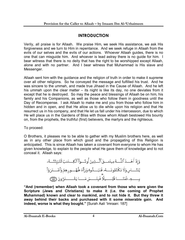# **INTRODUCTION**

Verily, all praise is for Allaah. We praise Him, we seek His assistance, we ask His forgiveness and we turn to Him in repentance. And we seek refuge in Allaah from the evils of our selves and the evils of our actions. Whoever Allaah guides, there is no one that can misguide him. And whoever is lead astray there is no guide for him. I bear witness that there is no deity that has the right to be worshipped except Allaah, alone and with no partner. And I bear witness that Muhammad is His slave and Messenger.

Allaah sent him with the guidance and the religion of truth in order to make it supreme over all other religions. So he conveyed the message and fulfilled his trust. And he was sincere to the ummah, and made true Jihaad in the Cause of Allaah. And he left his ummah upon the clear matter – its night is like its day, no one deviates from it except that he is destroyed. So may the peace and blessings of Allaah be on him, his family and his Companions, as well as those who follow them in goodness until the Day of Recompense. I ask Allaah to make me and you from those who follow him in hidden and in open, and that He allow us to die while upon his religion and that He resurrect us in his company, and that He let us fall under his intercession, due to which He will place us in the Gardens of Bliss with those whom Allaah bestowed His bounty on, from the prophets, the truthful (first) believers, the martyrs and the righteous.

To proceed:

O Brothers, it pleases me to be able to gather with my Muslim brothers here, as well as in any other place from which good and the propagating of this Religion is anticipated. This is since Allaah has taken a covenant from everyone to whom He has given knowledge, to explain to the people what He gave them of knowledge and to not conceal it. Allaah says:

**"And (remember) when Allaah took a covenant from those who were given the Scripture (Jews and Christians) to make it (i.e. the coming of Prophet Muhammad) known and clear to mankind, and to not hide it. But they threw it away behind their backs and purchased with it some miserable gain. And indeed, worse is what they bought."** [Surah Aali 'Imraan: 187]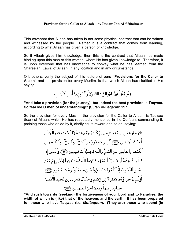This covenant that Allaah has taken is not some physical contract that can be written and witnessed by the people. Rather it is a contract that comes from learning, according to what Allaah has given a person of knowledge.

So if Allaah gives him knowledge, then this is the contract that Allaah has made binding upon this man or this woman, whom He has given knowledge to. Therefore, it is upon everyone that has knowledge to convey what he has learned from the Sharee'ah (Laws) of Allaah, in any location and in any circumstance.

O brothers, verily the subject of this lecture of ours **"Provisions for the Caller to Allaah"** and the provision for every Muslim, is that which Allaah has clarified in His saying:

وَتَزَوَّدُواْ فَإِنَّ خَيْرَالزَّادِ ٱلتَّقْوَىٰۚ وَٱتَّقُون يَدَّأُوْلِى ٱلۡأَلۡبَـٰبِ ر

#### **"And take a provision (for the journey), but indeed the best provision is Taqwaa. So fear Me O men of understanding!"** [Surah Al-Baqarah: 197]

So the provision for every Muslim, the provision for the Caller to Allaah, is Taqwaa (fear) of Allaah, which He has repeatedly mentioned in the Qur'aan, commanding it, praising those who abide by it, clarifying its reward and so on, saying:

> **ؖۘؖؖ**؋ۅٙسَارعُوٓا۠ إِلَىٰۖ مَغۡفِرَةٍ مِّن رَّبّكُمۡ وَجَنَّةٍ عَرۡضُهَا ٱلسَّمَدوَتُ وَٱلۡأَرۡضُ أُعِدَّتُ لِلْمُتَّقِينَ (٣٣) ٱلَّذِينَ يُنفِقُونَ فِي ٱلسَّرَّاءِ وَٱلضَّرَّاءِ وَٱلْكَنظِمِينَ ٱلْغَيْظَ وَٱلْعَافِينَ عَنِ ٱلنَّاسِّ وَٱللَّهُ يُحِبُّ ٱلْمُحُسِنِينَ (٢٣) وَٱلَّذِينَ إِذَا فَعَلُواْ فَنحِشَةً أَوْ ظَلَمُوٓاْ أَنفُسَهُمْ ذَكَرُواْ ٱللَّهَ فَٱسۡتَغۡفَرُواْ لِذُذُوبِهِمۡ وَمَن يَغْفِرُ ٱلذُّدُوبَ إِلَّا ٱللَّهُ وَلَمَّ يُصِرُّواْ عَلَىٰ مَا فَعَلُواْ وَهُمْ يَعْلَمُونَ (٢٥٠٣ أُوْلَنَبِكَ جَزَآؤُهُم مَّغْفِرَةٌ مِّن رَّبِّهِمْ وَجَنَّدْتٌ تَجُرى مِن تَحُتِهَا ٱلْأَنَّهَـٰرُ ۖ خَـٰلِدِينَ فِيهَاْۚ وَنِعُمَ أَجُرُ ٱلْعَـٰمِلِينَ ۞

**"And rush towards (seeking) the forgiveness of your Lord and to Paradise, the width of which is (like) that of the heavens and the earth. It has been prepared for those who have Taqwaa (i.e.** *Muttaqoon***). (They are) those who spend (in**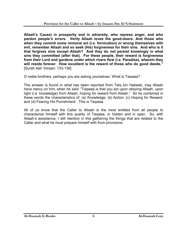**Allaah's Cause) in prosperity and in adversity, who repress anger, and who pardon people's errors. Verily Allaah loves the good-doers. And those who when they commit some immoral act (i.e. fornication) or wrong themselves with evil, remember Allaah and so seek (His) forgiveness for their sins. And who is it**  that forgives sins except Allaah? And they do not persist knowingly in what **sins they committed (after that). For these people, their reward is forgiveness from their Lord and gardens under which rivers flow (i.e. Paradise), wherein they will reside forever. How excellent is the reward of those who do good deeds."** [Surah Aali 'Imraan: 133-136]

O noble brothers, perhaps you are asking yourselves: What is Taqwaa?

The answer is found in what has been reported from Talq bin Habeeb, may Allaah have mercy on him, when he said: "Taqwaa is that you act upon obeying Allaah, upon light (i.e. knowledge) from Allaah, hoping for reward from Allaah." So he combined in these words the characteristics of: (a) Knowledge; (b) Action; (c) Hoping for Reward; and (d) Fearing His Punishment. This is Taqwaa.

All of us know that the Caller to Allaah is the most entitled from all people to characterize himself with this quality of Taqwaa, in hidden and in open. So, with Allaah's assistance, I will mention in this gathering the things that are related to the Caller and what he must prepare himself with from provisions.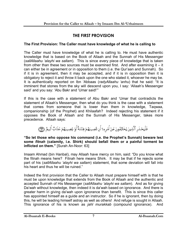# **THE FIRST PROVISION**

#### **The First Provision: The Caller must have knowledge of what he is calling to**

The Caller must have knowledge of what he is calling to. He must have authentic knowledge that is based on the Book of Allaah and the Sunnah of His Messenger (*sallAllaahu 'alayhi wa sallam*). This is since every piece of knowledge that is taken from other than these two sources must be examined first. And after examining it – it can either be in agreement or in opposition to them (i.e. the Qur'aan and Sunnah). So if it is in agreement, then it may be accepted, and if it is in opposition then it is obligatory to reject it and throw it back upon the one who stated it, whoever he may be. It is authentically reported on Ibn 'Abbaas (*radyAllaahu 'anhu*) that he said: "It is imminent that stones from the sky will descend upon you, I say: 'Allaah's Messenger said' and you say: 'Abu Bakr and 'Umar said!'"

If this is the case with a statement of Abu Bakr and 'Umar that contradicts the statement of Allaah's Messenger, then what do you think is the case with a statement that comes from someone that is lower than them in knowledge, Taqwaa, companionship (of the Prophet) and Khilaafah? Indeed rejecting his statement if it opposes the Book of Allaah and the Sunnah of His Messenger, takes more precedence. Allaah says:

فَلْيَحْذَرِ ٱلَّذِينَ يُخَالِفُونَ عَنْ أَمْرِيدَ أَن تُصِيبَهُمْ فِتْنَةٌ أَوْ يُصِيبَهُمْ عَذَابٌ أَلِيمٌ (٢

**"So let those who oppose his command (i.e. the Prophet's Sunnah) beware lest some** *fitnah* **(calamity, i.e. Shirk) should befall them or a painful torment be inflicted on them."** [Surah An-Noor: 63]

Imaam Ahmad (bin Hanbal), may Allaah have mercy on him, said: "Do you know what the fitnah means here? Fitnah here means Shirk. It may be that if he rejects some part of his (*sallAllaahu 'alayhi wa sallam*) statement, that some deviation will fall into his heart and thus he will be ruined."

Indeed the first provision that the Caller to Allaah must prepare himself with is that he must be upon knowledge that extends from the Book of Allaah and the authentic and accepted Sunnah of His Messenger (*sallAllaahu 'alayhi wa sallam*). And as for giving Da'wah without knowledge, then indeed it is da'wah based on ignorance. And there is greater harm in giving da'wah upon ignorance than benefit. This is since this caller has appointed himself as a guide and an instructor. So if he is ignorant, then by doing this, he will be leading himself astray as well as others! And refuge is sought in Allaah. This ignorance of his is known as *jahl murakkab* (compound ignorance). And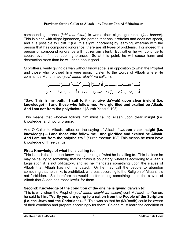compound ignorance (*jahl murakkab*) is worse than slight ignorance (*jahl baseet*). This is since with slight ignorance, the person that has it refrains and does not speak, and it is possible to uplift it (i.e. this slight ignorance) by learning, whereas with the person that has compound ignorance, there are all types of problems. For indeed this person of compound ignorance will not remain silent. But rather he will continue to speak, even if it be upon ignorance. So at this point, he will cause harm and destruction more than he will bring about good.

O brothers, verily giving da'wah without knowledge is in opposition to what the Prophet and those who followed him were upon. Listen to the words of Allaah where He commands Muhammad (*sallAllaahu 'alayhi wa sallam*):

> قُّــــلُ هَــــــذِهِــ سَـــــبِيلِيّ أَدُعُــــوّاْ إِلَـــــى ٱللَّــــةِ عَلَـــــىٰ بَصِــــيرَةٍ أَنَــاْ وَمَـــنِ ٱتَّبَعَنِـــوٌّ وَسُــبُحَـٰنَ ٱللَّــهِ وَمَــآ أَنَــاْ مِـــنَ ٱلْمُشْــرِ كِينَ

**"Say: This is my path. I call to it (i.e. give da'wah) upon clear insight (i.e. knowledge) – I and those who follow me. And glorified and exalted be Allaah. And I am not from the polytheists."** [Surah Yoosuf: 108]

This means that whoever follows him must call to Allaah upon clear insight (i.e. knowledge) and not ignorance.

And O Caller to Allaah, reflect on the saying of Allaah: **"…upon clear insight (i.e. knowledge) – I and those who follow me. And glorified and exalted be Allaah. And I am not from the polytheists."** [Surah Yoosuf: 108] This means he must have knowledge of three things:

#### **First: Knowledge of what he is calling to:**

This is such that he must know the legal ruling of what he is calling to. This is since he may be calling to something that he thinks is obligatory, whereas according to Allaah's Legislation it is not obligatory, and so he mandates something upon the slaves of Allaah that Allaah has not mandated. Or he may call the people to abandon something that he thinks is prohibited, whereas according to the Religion of Allaah, it is not forbidden. So therefore he would be forbidding something upon the slaves of Allaah that Allaah has made lawful for them.

#### **Second: Knowledge of the condition of the one he is giving da'wah to:**

This is why when the Prophet (*sallAllaahu 'alayhi wa sallam*) sent Mu'aadh to Yemen, he said to him: **"Verily you are going to a nation from the People of the Scripture (i.e. the Jews and the Christians)…"** This was so that he (Mu'aadh) could be aware of their condition and prepare accordingly for them. So one must learn the condition of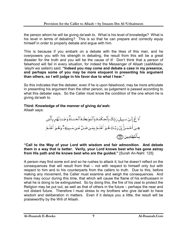the person whom he will be giving da'wah to. What is his level of knowledge? What is his level in terms of debating? This is so that he can prepare and correctly equip himself in order to properly debate and argue with him.

This is because if you embark on a debate with the likes of this man, and he overpowers you with his strength in debating, the result from this will be a great disaster for the truth and you will be the cause of it! Don't think that a person of falsehood will fail in every situation, for indeed the Messenger of Allaah (*sallAllaahu 'alayhi wa sallam*) said: **"Indeed you may come and debate a case in my presence, and perhaps some of you may be more eloquent in presenting his argument than others, so I will judge in his favor due to what I hear."**

So this indicates that the debater, even if he is upon falsehood, may be more articulate in presenting his argument than the other person, so judgement is passed according to what this debater says. So the Caller must know the condition of the one whom he is giving da'wah to.

#### **Third: Knowledge of the manner of giving da'wah:**

Allaah says:



**"Call to the Way of your Lord with wisdom and fair admonition. And debate them in a way that is better. Verily, your Lord knows best who has gone astray from His path and He knows best who are the guided."** [Surah An-Nahl: 125]

A person may find some evil and so he rushes to attack it; but he doesn't reflect on the consequences that will result from that – not with respect to himself only but with respect to him and to his counterparts from the callers to truth. Due to this, before making any movement, the Caller must examine and weigh the consequences. And there may occur during this time, that which will cause the flame of his enthusiasm in what he is doing to be extinguished. So by doing this, the fire of his zeal to protect the Religion may be put out, as well as that of others in the future – perhaps the near and not distant future. Therefore I must stress to my brothers who give da'wah to have wisdom and deliberation in matters. Even if it delays you a little, the result will be praiseworthy by the Will of Allaah.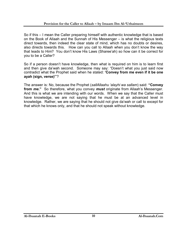So if this – I mean the Caller preparing himself with authentic knowledge that is based on the Book of Allaah and the Sunnah of His Messenger – is what the religious texts direct towards, then indeed the clear state of mind, which has no doubts or desires, also directs towards this. How can you call to Allaah when you don't know the way that leads to Him? You don't know His Laws (Sharee'ah) so how can it be correct for you to be a Caller?

So if a person doesn't have knowledge, then what is required on him is to learn first and then give da'wah second. Someone may say: "Doesn't what you just said now contradict what the Prophet said when he stated: **'Convey from me even if it be one ayah (sign, verse)'**"?

The answer is: No, because the Prophet (*sallAllaahu 'alayhi wa sallam*) said: **"Convey from** *me***."** So therefore, what you convey *must* originate from Allaah's Messenger. And this is what we are intending with our words. When we say that the Caller must have knowledge, we are not saying that he must be at an advanced level in knowledge. Rather, we are saying that he should not give da'wah or call to except for that which he knows only, and that he should not speak without knowledge.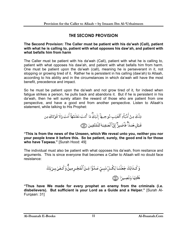# **THE SECOND PROVISION**

#### **The Second Provision: The Caller must be patient with his da'wah (Call), patient with what he is calling to, patient with what opposes his daw'ah, and patient with what befalls him from harm**

The Caller must be patient with his da'wah (Call), patient with what he is calling to, patient with what opposes his daw'ah, and patient with what befalls him from harm. One must be patient upon the da'wah (call), meaning he is perseverant in it, not stopping or growing tired of it. Rather he is persistent in his calling (daw'ah) to Allaah, according to his ability and in the circumstances in which da'wah will have the most benefit, precedence and impact.

So he must be patient upon the da'wah and not grow tired of it, for indeed when fatigue strikes a person, he pulls back and abandons it. But if he is persistent in his da'wah, then he will surely attain the reward of those who are patient from one perspective, and have a good end from another perspective. Listen to Allaah's statement, while talking to His Prophet:

**"This is from the news of the Unseen, which We reveal unto you, neither you nor your people knew it before this. So be patient, surely, the good end is for those who have Taqwaa."** [Surah Hood: 49]

The individual must also be patient with what opposes his da'wah, from resitance and arguments. This is since everyone that becomes a Caller to Allaah will no doubt face resistance:

**"Thus have We made for every prophet an enemy from the criminals (i.e. disbelievers). But sufficient is your Lord as a Guide and a Helper."** [Surah Al-Furqaan: 31]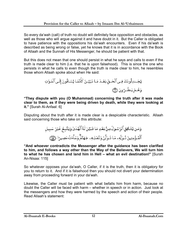So every da'wah (call) of truth no doubt will definitely face opposition and obstacles, as well as those who will argue against it and have doubt in it. But the Caller is obligated to have patience with the oppositions his da'wah encounters. Even if his da'wah is described as being wrong or false, yet he knows that it is in accordance with the Book of Allaah and the Sunnah of His Messenger, he should be patient with that.

But this does not mean that one should persist in what he says and calls to even if the truth is made clear to him (i.e. that he is upon falsehood). This is since the one who persists in what he calls to even though the truth is made clear to him, he resembles those whom Allaah spoke about when He said:



**"They dispute with you (O Muhammad) concerning the truth after it was made clear to them, as if they were being driven by death, while they were looking at it."** [Surah Al-Anfaal: 6]

Disputing about the truth after it is made clear is a despicable characteristic. Allaah said concerning those who take on this attribute:

**"And whoever contradicts the Messenger after the guidance has been clarified to him, and follows a way other than the Way of the Believers, We will turn him to what he has chosen and land him in Hell – what an evil destination!"** [Surah An-Nisaa: 115]

So whatever opposes your da'wah, O Caller, if it is the truth, then it is obligatory for you to return to it. And if it is falsehood then you should not divert your determination away from proceeding forward in your da'wah.

Likewise, the Caller must be patient with what befalls him from harm, because no doubt the Caller will be faced with harm – whether in speech or in action. Just look at the messengers and how they were harmed by the speech and action of their people. Read Allaah's statement: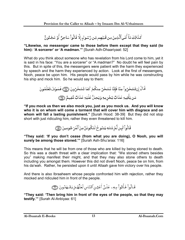كَذَالِكَ مَآ أَتَىٱلَّذِينَ مِن قَبَلِهِم مِّن رَّسُولِ إِلَّا قَالُواْ سَاحِرٌ أَوْ مَجْنُونٌ ۚ

#### **"Likewise, no messenger came to those before them except that they said (to him): 'A sorcerer' or 'A madman.'"** [Surah Adh-Dhaariyaat: 52]

What do you think about someone who has revelation from his Lord come to him, yet it is said in his face: "You are a sorcerer" or "A madman?" No doubt he will feel pain by this. But in spite of this, the messengers were patient with the harm they experienced by speech and the harm they experienced by action. Look at the first of messengers, Nooh, peace be upon him. His people would pass by him while he was constructing his ship and mock him. So he would say to them:

**"If you mock us then we also mock you, just as you mock us. And you will know who it is on whom will come a torment that will cover him with disgrace and on whom will fall a lasting punishment."** [Surah Hood: 38-39] But they did not stop short with just ridiculing him, rather they even threatened to kill him.

قَالُواْ لَبِن لَّمُ تَنتَهِ يَننُو حُ لَتَكُونَنَّ مِنَ ٱلْمَرْ جُومِينَ (@

**"They said: 'If you don't cease (from what you are doing), O Nooh, you will surely be among those stoned.'"** [Surah Ash-Shu'araa: 116]

This means that he will be from one of those who are killed by being stoned to death. So this was a death threat with a clear implication that: "We stoned others besides you" making manifest their might, and that they may also stone others to death including you amongst them. However this did not divert Nooh, peace be on him, from his da'wah. Rather, he persisted upon it until Allaah gave him victory over his people.

And there is also Ibraaheem whose people confronted him with rejection, rather they mocked and ridiculed him in front of the people.

# قَالُواْ فَأَتُواْ بِهِء عَلَىٰٓ أَعُيُنِ ٱلنَّاسِ لَعَلَّهُمْ يَشْهَدُونَ (@

**"They said: 'Then bring him in front of the eyes of the people, so that they may testify.'"** [Surah Al-Anbiyaa: 61]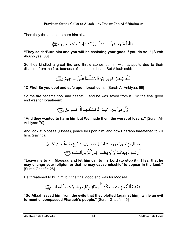Then they threatened to burn him alive:

قَالُواْ حَرِّقُوهُ وَٱنصُرُوٓاْ ءَالِهَتَكُمُ إِن كُنتُمْ فَنعِلِينَ ۞

**"They said: 'Burn him and you will be assisting your gods if you do so.'"** [Surah Al-Anbiyaa: 68]

So they kindled a great fire and threw stones at him with catapults due to their distance from the fire, because of its intense heat. But Allaah said:

**"O Fire! Be you cool and safe upon Ibraaheem."** [Surah Al-Anbiyaa: 69]

So the fire became cool and peaceful, and he was saved from it. So the final good end was for Ibraaheem:

#### **"And they wanted to harm him but We made them the worst of losers."** [Surah Al-Anbiyaa: 70]

And look at Moosaa (Moses), peace be upon him, and how Pharaoh threatened to kill him, (saying):

**"Leave me to kill Moosaa, and let him call to his Lord (to stop it). I fear that he may change your religion or that he may cause mischief to appear in the land."** [Surah Ghaafir: 26]

He threatened to kill him, but the final good end was for Moosaa.

فَوَقَنهُ ٱللَّهُ سَيِّئَاتِ مَا مَكَرُواًّ وَحَاقَ بِئَالٍ فِرُعَوُنَ سُوّءُ ٱلْعَذَابِ ۞

**"So Allaah saved him from the evils that they plotted (against him), while an evil torment encompassed Pharaoh's people."** [Surah Ghaafir: 45]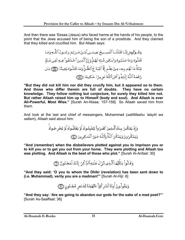And then there was 'Eesaa (Jesus) who faced harms at the hands of his people, to the point that the Jews accused him of being the son of a prostitute. And they claimed that they killed and crucified him. But Allaah says:

> وَقَــوُلِهِمْ إِنَّــا قَتَلُنَــا ٱلْمَسِــيحَ عِيسَــى ٱبْــنَ مَــرْيَمَ رَسُــولَ ٱللَّـهِ وَمَـا قَتَلُوهُ وَمَا صَلَبُوهُ وَلَـٰكِن شُبَّهَ لَهُمٍّ وَإِنَّ ٱلَّذِينَ ٱخۡتَلَفُواْ فِيهِ لَفِي شَكِّ مِّنُهُۚ مَا لَهُم بِهِۦ مِنۡ عِلۡم إِلَّا ٱتِّبَا عَ ٱلظَّنَّ وَمَا قَتَلُوهُ يَقِينَا (@) بَـل رَّفَعَهُ ٱللَّهُ إِلَيْهِۚ وَكَانَ ٱللَّهُ عَزِيزًا حَكِيمًا ۞

**"But they did not kill him nor did they crucify him, but it appeared so to them. And those who differ therein are full of doubts. They have no certain knowledge. They follow nothing but conjecture, for surely they killed him not. But rather Allaah raised him up to Himself (body and soul). And Allaah is ever All-Powerful, Most Wise."** [Surah An-Nisaa: 157-158] So Allaah saved him from them.

And look at the last and chief of messengers, Muhammad (*sallAllaahu 'alayhi wa sallam*), Allaah said about him:

**"And (remember) when the disbelievers plotted against you to imprison you or to kill you or to get you out from your home. They were plotting and Allaah too was plotting. And Allaah is the best of those who plot."** [Surah Al-Anfaal: 30]

وَقَالُواْ يَنَأَيُّهَا ٱلَّذِى ذُرٍّ لَ عَلَيْهِ ٱلذِّكُرُ ۚ إِنَّكَ لَمَجُنُونٌ ۞

**"And they said: 'O you to whom the Dhikr (revelation) has been sent down to (i.e. Muhammad), verily you are a madman!'"** [Surah Al-Hijr: 6]

**"And they say: 'Are we going to abandon our gods for the sake of a mad poet?'"** [Surah As-Saaffaat: 36]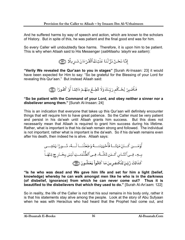And he suffered harms by way of speech and action, which are known to the scholars of History. But in spite of this, he was patient and the final good end was for him.

So every Caller will undoubtedly face harms. Therefore, it is upon him to be patient. This is why when Allaah said to His Messenger (*sallAllaahu 'alayhi wa sallam*):



**"Verily We revealed the Qur'aan to you in stages"** [Surah Al-Insaan: 23] it would have been expected for Him to say: "So be grateful for the Blessing of your Lord for revealing this Qur'aan." But instead Allaah said:

فَلَصۡبِرۡ لِحُـكُم رَبِّكَ وَلَا تُطِـعُ مِنۡهُمۡ ءَاٰثِمَا أَوۡ كَفُورًا ۞

#### **"So be patient with the Command of your Lord, and obey neither a sinner nor a disbeliever among them."** [Surah Al-Insaan: 24]

This is an indication that everyone that takes up this Qur'aan will definitely encounter things that will require him to have great patience. So the Caller must be very patient and persist in his da'wah until Allaah grants him success. But this does not necessarily mean that Allaah is required to grant him success during his lifetime. Rather, what is important is that his da'wah remain strong and followed. The individual is not important; rather what is important is the da'wah. So if his da'wah remains even after his death, then indeed he is alive. Allaah says:

**"Is he who was dead and We gave him life and set for him a light (belief, knowledge) whereby he can walk amongst men like he who is in the darkness (of disbelief, ignorance) from which he can never come out? Thus it is beautified to the disbelievers that which they used to do."** [Surah Al-An'aam: 122]

So in reality, the life of the Caller is not that his soul remains in his body only, rather it is that his statements stay alive among the people. Look at the story of Abu Sufyaan when he was with Heraclius who had heard that the Prophet had come out, and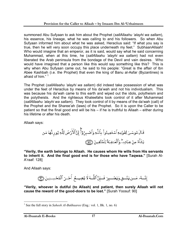summoned Abu Sufyaan to ask him about the Prophet (*sallAllaahu 'alayhi wa sallam*), his essence, his lineage, what he was calling to and his followers. So when Abu Sufyaan informed him about what he was asked, Heraclius said: "If what you say is true, then he will very soon occupy this place underneath my feet." SubhaanAllaah! Who would imagine that an emperor, as it is said, would say what he said concerning Muhammad, when at this time, he (*sallAllaahu 'alayhi wa sallam*) had not even liberated the Arab peninsula from the bondage of the Devil and vain desires. Who would have imagined that a person like this would say something like this? This is why when Abu Sufyaan came out, he said to his people: "Great is the affair of Ibn Abee Kashbah (i.e. the Prophet) that even the king of Banu al-Asfar (Byzantines) is afraid of him."<sup>1</sup>

The Prophet (*sallAllaahu 'alayhi wa sallam*) did indeed take possession of what was under the feet of Heraclius by means of his da'wah and not his individualism. This was because his da'wah came to this earth and wiped out the idols, polytheism and the polytheists. And the righteous Khaleefahs took control of it after Muhammad (*sallAllaahu 'alayhi wa sallam*). They took control of it by means of the da'wah (call) of the Prophet and the Sharee'ah (laws) of the Prophet. So it is upon the Caller to be patient so that the final good end will be his – if he is truthful to Allaah – either during his lifetime or after his death.

Allaah says:

**"Verily, the earth belongs to Allaah. He causes whom He wills from His servants to inherit it. And the final good end is for those who have Taqwaa."** [Surah Al-A'raaf: 128]

And Allaah says:

**"Verily, whoever is dutiful (to Allaah) and patient, then surely Allaah will not cause the reward of the good-doers to be lost."** [Surah Yoosuf: 90]

 $\overline{a}$ <sup>1</sup> See the full story in *Saheeh Al-Bukhaaree* (Eng.: vol. 1, Bk. 1, no. 6)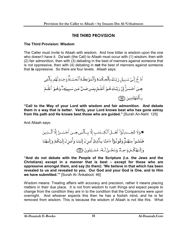# **THE THIRD PROVISION**

#### **The Third Provision: Wisdom**

The Caller must invite to Allaah with wisdom. And how bitter is wisdom upon the one who doesn't have it. Da'wah (the Call) to Allaah must occur with (1) wisdom, then with (2) fair admonition, then with (3) debating in the best of manners against someone that is not oppressive, then with (4) debating in **not** the best of manners against someone that **is** oppressive. So there are four levels. Allaah says:

**"Call to the Way of your Lord with wisdom and fair admonition. And debate them in a way that is better. Verily, your Lord knows best who has gone astray from His path and He knows best those who are guided."** [Surah An-Nahl: 125]

And Allaah says:

**"And do not debate with the People of the Scripture (i.e. the Jews and the Christians) except in a manner that is best – except for those who are oppressive amongst them, and say (to them): 'We believe in that which has been revealed to us and revealed to you. Our God and your God is One, and to Him we have submitted.'"** [Surah Al-'Ankaboot: 46]

Wisdom means: Treating affairs with accuracy and precision, rather it means placing matters in their due place. It is not from wisdom to rush things and expect people to change from the condition they are in to the condition that the Companions were upon overnight. And whoever expects this then he has a foolish mind, and he is far removed from wisdom. This is because the wisdom of Allaah is not like this. What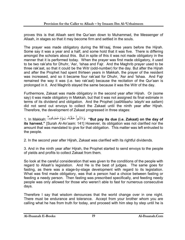proves this is that Allaah sent the Qur'aan down to Muhammad, the Messenger of Allaah, in stages so that it may become firm and settled in the souls.

The prayer was made obligatory during the Mi'raaj, three years before the Hijrah. Some say it was a year and a half, and some hold that it was five. There is differing amongst the scholars about this. But in spite of this it was not made obligatory in the manner that it is performed today. When the prayer was first made obligatory, it used to be two rak'ahs for Dhuhr, 'Asr, 'Ishaa and Fajr. And the Maghrib prayer used to be three rak'aat, so that it could be the Witr (odd-number) for the day. But after the Hijrah and after the Prophet had spent thirteen years in Makkah, the prayer of the resident was increased, and so it became four rak'aat for Dhuhr, 'Asr and 'Ishaa. And Fajr remained the way it was (i.e. two rak'aat) because the recitation of the Qur'aan is prolonged in it. And Maghrib stayed the same because it was the Witr of the day.

Furthermore, Zakaat was made obligatory in the second year after Hijrah. Or (some say) it was made obligatory in Makkah, but that it was not assigned its final estimate in terms of its dividend and obligation. And the Prophet (*sallAllaahu 'alayhi wa sallam*) did not send out envoys to collect the Zakaat until the ninth year after Hijrah. Therefore, the development of Zakaat progressed in three stages:

1. In Makkah: **"But pay its due (i.e. Zakaat) on the day of its harvest."** [Surah Al-An'aam: 141] However, its obligation was not clarified nor the amount that was mandated to give for that obligation. This matter was left entrusted to the people.

2. In the second year after Hijrah, Zakaat was clarified with its rightful dividends.

3. And in the ninth year after Hijrah, the Prophet started to send envoys to the people of yields and profits to collect Zakaat from them.

So look at the careful consideration that was given to the conditions of the people with regard to Allaah's legislation. And He is the best of judges. The same goes for fasting, as there was a stage-by-stage development with regard to its legislation. What was first made obligatory, was that a person had a choice between fasting or feeding a needy person. Then fasting was prescribed specifically, and feeding needy people was only allowed for those who weren't able to fast for numerous consecutive days.

Therefore I say that wisdom denounces that the world change over in one night. There must be endurance and tolerance. Accept from your brother whom you are calling what he has from truth for today, and proceed with him step by step until he is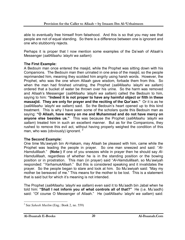able to eventually free himself from falsehood. And this is so that you may see that people are not of equal standing. So there is a difference between one is ignorant and one who stubbornly rejects.

Perhaps it is proper that I now mention some examples of the Da'wah of Allaah's Messenger (*sallAllaahu 'alayhi wa sallam*):

#### **The First Example:**

A Bedouin man once entered the masjid, while the Prophet was sitting down with his Companions. The Bedouin man then urinated in one area of the masjid, so the people reprimanded him, meaning they scolded him angrily using harsh words. However, the Prophet, who was the one whom Allaah gave wisdom, forbade them from this. So when the man had finished urinating, the Prophet (*sallAllaahu 'alayhi wa sallam*) ordered that a bucket of water be thrown over his urine. So the harm was removed and Allaah's Messenger (*sallAllaahu 'alayhi wa sallam*) called the Bedouin to him, saying to him: **"Indeed it is not proper to have any harmful object or filth in these masaajid. They are only for prayer and the reciting of the Qur'aan."** Or it is as he (*sallAllaahu 'alayhi wa sallam*) said. So the Bedouin's heart opened up to this kind treatment. This is why I have seen some of the scholars quote this Bedouin man as saying: **"O Allaah, have mercy on me and Muhammad and do not have mercy on anyone else besides us."** This was because the Prophet (*sallAllaahu 'alayhi wa sallam*) treated him in such an excellent manner. But as for the Companions, they rushed to remove this evil act, without having properly weighed the condition of this man, who was (obviously) ignorant.<sup>2</sup>

#### **The Second Example:**

One time Mu'awiyah bin Al-Hakam, may Allaah be pleased with him, came while the Prophet was leading the people in prayer. So one man sneezed and said: "*Al-Hamdulillaah*." **(Note:)** If one of you sneezes while in prayer then he should say *Al-Hamdulillaah*, regardless of whether he is in the standing position or the bowing position or in prostration. This man (in prayer) said "*Al-Hamdulillaah*, so Mu'awiyah responded: "*YarhamukAllaah*." But this is considered speaking and it invalidates the prayer. So the people began to stare and look at him. So Mu'awiyah said: "May my mother be bereaved of me." This means for the mother to be lost. This is a statement that is said but for which it's meaning is not intended.

The Prophet (*sallAllaahu 'alayhi wa sallam*) even said it to Mu'aadh bin Jabal when he told him: **"Shall I not inform you of what controls all of that?"** He (i.e. Mu'aadh) said: "Of course O Messenger of Allaah." He (*sallAllaahu 'alayhi wa sallam*) said:

 $\overline{a}$ 2 See *Saheeh Muslim* (Eng.: Book 2, no. 559)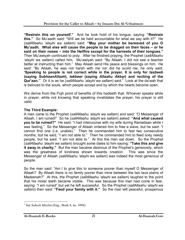**"Restrain this on yourself."** And he took hold of his tongue, saying: **"Restrain this."** So Mu'aadh said: "Will we be held accountable for what we say with it?" He (*sallAllaahu 'alayhi wa sallam*) said: **"May your mother be bereaved of you O Mu'aadh. What else will cause the people to be dragged on their faces – or he said on their noses – into the Hellfire except for the harvests of their tongues."**  Then Mu'awiyah continued to pray. After he finished praying, the Prophet (*sallAllaahu 'alayhi wa sallam*) called him. Mu'awiyah said: "By Allaah, I did not see a teacher better at instructing than him." May Allaah send His peace and blessings on him. He said: "By Allaah, he was not harsh with me nor did he scold me, he only said: **'Speaking to people is not correct while in the prayer. It is only for** *tasbeeh*  **(saying** *SubhaanAllaah***),** *takbeer* **(saying** *Allaahu Akbar***) and reciting of the Qur'aan.'**"Or it is as he (*sallAllaahu 'alayhi wa sallam*) said.<sup>3</sup> Look at the da'wah that is beloved to the souls, which people accept and by which the hearts become open.

We derive from the Fiqh point of benefits of this hadeeth that: Whoever speaks while in prayer, while not knowing that speaking invalidates the prayer, his prayer is still valid.

#### **The Third Example:**

A man came to the Prophet (*sallAllaahu 'alayhi wa sallam*) and said: "O Messenger of Allaah, I am ruined!" So he (*sallAllaahu 'alayhi wa sallam*) asked: **"And what caused you to be ruined?"** He said: "I had intercourse with my wife during Ramadaan while I was fasting." So the Messenger of Allaah ordered him to free a slave, but he said: "I cannot find one (i.e. unable)." Then he commanded him to fast two consecutive months, but he said; "I am not able to." Then he commanded him to feed sixty needy people, but he said: "I am not able to." At this the man sat down. So the Prophet (*sallAllaahu 'alayhi wa sallam*) brought some dates to him saying: **"Take this and give it away in charity."** But the man became desirous of the Prophet's generosity, which was the greatness of kindness shown towards creation. This was since the Messenger of Allaah (*sallAllaahu 'alayhi wa sallam*) was indeed the most generous of people.

So the man said: "Am I to give this to someone poorer than myself O Messenger of Allaah? By Allaah there is no family poorer than mine between the two lava plains of Madeenah?" At this, the Prophet (*sallAllaahu 'alayhi wa sallam*) laughed to the point that his molar teeth became visible. This was because this man had come in fear, saying: "I am ruined" but yet he left successful. So the Prophet (*sallAllaahu 'alayhi wa sallam*) then said: **"Feed your family with it."** So the man left peaceful, prosperous

 $\overline{a}$ 3 See *Saheeh Muslim* (Eng.: Book 4, no. 1094)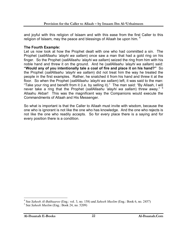and joyful with this religion of Islaam and with this ease from the first Caller to this religion of Islaam, may the peace and blessings of Allaah be upon him. <sup>4</sup>

#### **The Fourth Example:**

Let us now look at how the Prophet dealt with one who had committed a sin. The Prophet (*sallAllaahu 'alayhi wa sallam*) once saw a man that had a gold ring on his finger. So the Prophet (*sallAllaahu 'alayhi wa sallam*) seized the ring from him with his noble hand and threw it on the ground. And he (*sallAllaahu 'alayhi wa sallam*) said: **"Would any of you intentionally tale a coal of fire and place it on his hand?"** So the Prophet (*sallAllaahu 'alayhi wa sallam*) did not treat him the way he treated the people in the first examples. Rather, he snatched it from his hand and threw it at the floor. So when the Prophet (*sallAllaahu 'alayhi wa sallam*) left, it was said to the man: "Take your ring and benefit from it (i.e. by selling it)." The man said: "By Allaah, I will never take a ring that the Prophet (*sallAllaahu 'alayhi wa sallam*) threw away." <sup>5</sup> Allaahu Akbar! This was the magnificent way the Companions would execute the Commandments of Allaah and His Messenger.

So what is important is that the Caller to Allaah must invite with wisdom, because the one who is ignorant is not like the one who has knowledge. And the one who rejects is not like the one who readily accepts. So for every place there is a saying and for every position there is a condition.

 $\overline{a}$ 

<sup>4</sup> See *Saheeh Al-Bukhaaree* (Eng.: vol. 3, no. 158) and *Saheeh Muslim* (Eng.: Book 6, no. 2457)

<sup>5</sup> See *Saheeh Muslim* (Eng.: Book 24, no. 5209)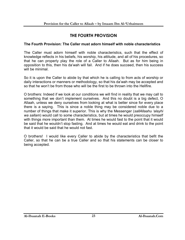# **THE FOURTH PROVISION**

#### **The Fourth Provision: The Caller must adorn himself with noble characteristics**

The Caller must adorn himself with noble characteristics, such that the effect of knowledge reflects in his beliefs, his worship, his attitude, and all of his procedures, so that he can properly play the role of a Caller to Allaah. But as for him being in opposition to this, then his da'wah will fail. And if he does succeed, then his success will be minimal

So it is upon the Caller to abide by that which he is calling to from acts of worship or daily interactions or manners or methodology, so that his da'wah may be accepted and so that he won't be from those who will be the first to be thrown into the Hellfire.

O brothers: Indeed if we look at our conditions we will find in reality that we may call to something that we don't implement ourselves. And this no doubt is a big defect, O Allaah, unless we deny ourselves from looking at what is better since for every place there is a saying. This is since a noble thing may be considered noble due to a number of things that make it superior. This is why the Messenger (*sallAllaahu 'alayhi wa sallam*) would call to some characteristics, but at times he would preoccupy himself with things more important than them. At times he would fast to the point that it would be said that he wouldn't stop fasting. And at times he would eat and drink to the point that it would be said that he would not fast.

O brothers! I would like every Caller to abide by the characteristics that befit the Caller, so that he can be a true Caller and so that his statements can be closer to being accepted.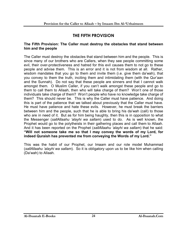# **THE FIFTH PROVISION**

#### **The Fifth Provision: The Caller must destroy the obstacles that stand between him and the people**

The Caller must destroy the obstacles that stand between him and the people. This is since many of our brothers who are Callers, when they see people committing some evil, their over-protectiveness and hatred for this evil causes them to not go to these people and advise them. This is an error and it is not from wisdom at all. Rather, wisdom mandates that you go to them and invite them (i.e. give them da'wah), that you convey to them the truth, inciting them and intimidating them (with the Qur'aan and the Sunnah). Do not say that these people are sinners and that I cannot walk amongst them. O Muslim Caller, if you can't walk amongst these people and go to them to call them to Allaah, then who will take charge of them? Won't one of those individuals take charge of them? Won't people who have no knowledge take charge of them? This should never be. This is why the Caller must have patience. And doing this is part of the patience that we talked about previously that the Caller must have. He must have patience and hate these evils. However, he must break the barriers between him and the people, such that he is able to bring his da'wah (call) to those who are in need of it. But as for him being haughty, then this is in opposition to what the Messenger (*sallAllaahu 'alayhi wa sallam*) used to do. As is well known, the Prophet would go to the polytheists in their gathering places and call them to Allaah. And it has been reported on the Prophet (*sallAllaahu 'alayhi wa sallam*) that he said: **"Will not someone take me so that I may convey the words of my Lord, for indeed Quraish has prevented me from conveying the Words of my Lord."**

This was the habit of our Prophet, our Imaam and our role model Muhammad (*sallAllaahu 'alayhi wa sallam*). So it is obligatory upon us to be like him when calling (Da'wah) to Allaah.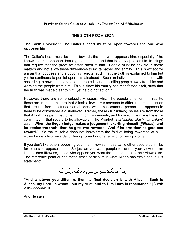# **THE SIXTH PROVISION**

#### **The Sixth Provision: The Caller's heart must be open towards the one who opposes him**

The Caller's heart must be open towards the one who opposes him, especially if he knows that his opponent has a good intention and that he only opposes him in things that require that the proof be established to him. People must be flexible in these matters and not allow these differences to incite hatred and enmity. This is except for a man that opposes and stubbornly rejects, such that the truth is explained to him but yet he continues to persist upon his falsehood Such an individual must be dealt with according to how he deserves to be treated, such as calling people away from him and warning the people from him. This is since his enmity has manifested itself, such that the truth was made clear to him, yet he did not act on it.

However, there are some subsidiary issues, which the people differ on. In reality, these are from the matters that Allaah allowed His servants to differ in. I mean issues that are not from the fundamental ones, which can cause a person that opposes in them to be considered a disbeliever. Rather, these (subsidiary) issues are from those that Allaah has permitted differing in for His servants, and for which He made the error committed in that regard to be allowable. The Prophet (*sallAllaahu 'alayhi wa sallam*) said: **"When the (legal) judge makes a judgement, exerting himself (***Ijtihaad***), and he attains the truth, then he gets two rewards. And if he errs then he gets one reward."** So the Mujtahid does not leave from the fold of being rewarded at all – either he gets two rewards for being correct or one reward for being wrong.

If you don't like others opposing you, then likewise, those same other people don't like for others to oppose them. So just as you want people to accept your view (on an issue), then likewise, those who oppose you want the people to take their views also. The reference point during these times of dispute is what Allaah has explained in His statement:



**"And whatever you differ in, then its final decision is with Allaah. Such is Allaah, my Lord, in whom I put my trust, and to Him I turn in repentance."** [Surah Ash-Shooraa: 10]

And He says: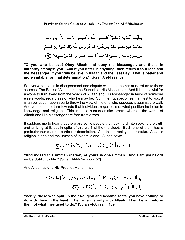يَتَأَيُّهَـا ٱلَّـذِينَ ءَامَنُـوٓاْ أَطِيعُـواْ ٱللَّـهَ وَأَطِيعُـواْ ٱلرَّسُـولَ وَأُوْلِـىٱلْأَمَّـر مِنكُمٌّ فَإِن تَنَدزَعُتُمُ فِي شَيُءٍ فَرُدُّوهُ إِلَى ٱللَّهِ وَٱلرَّسُولِ إِن كُنتُمُ تُؤْمِنُونَ بِٱللَّهِ وَٱلۡيَــوُمٖٱلۡٱخِــرِ ۚ ذَٰالِـكَ خَــيۡرٌ ۚ وَأَحۡسَـنُ تَـأُوِيلًا ۞

**"O you who believe! Obey Allaah and obey the Messenger, and those in authority amongst you. And if you differ in anything, then return it to Allaah and the Messenger, if you truly believe in Allaah and the Last Day. That is better and more suitable for final determination."** [Surah An-Nisaa: 59]

So everyone that is in disagreement and dispute with one another must return to these sources: The Book of Allaah and the Sunnah of His Messenger. And it is not lawful for anyone to turn away from the words of Allaah and His Messenger in favor of someone else's words, regardless of who he may be. So if the truth becomes manifest to you, it is an obligation upon you to throw the view of the one who opposes it against the wall. And you must not turn towards that individual, regardless of what position he holds in knowledge and religion. This is since humans make errors, whereas the words of Allaah and His Messenger are free from errors.

It saddens me to hear that there are some people that look hard into seeking the truth and arriving at it, but in spite of this we find them divided. Each one of them has a particular name and a particular description. And this in reality is a mistake. Allaah's religion is one and the ummah of Islaam is one. Allaah says:

وَإِنَّ هَدٰذِهِۦٓ أُمَّتُكُمُ أُمَّـةً وَاحِـدَةً وَأَنَـاْ رَبُّكُمُ فَاَتَّقُونِ ۞

**"And indeed this ummah (nation) of yours is one ummah. And I am your Lord so be dutiful to Me."** [Surah Al-Mu'minoon: 52]

And Allaah said to His Prophet Muhammad;

**"Verily, those who split up their Religion and became sects, you have nothing to do with them in the least. Their affair is only with Allaah. Then He will inform them of what they used to do."** [Surah Al-An'aam: 159]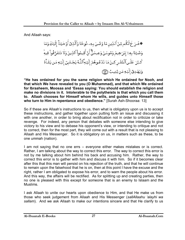And Allaah says:

**"He has ordained for you the same religion which He ordained for Nooh, and that which We have revealed to you (O Muhammad), and that which We ordained for Ibraaheem, Moosaa and 'Eesaa saying: You should establish the religion and make no divisions in it. Intolerable to the polytheists is that which you call them to. Allaah chooses for Himself whom He wills, and guides unto Himself those who turn to Him in repentance and obedience."** [Surah Ash-Shooraa: 13]

So if these are Allaah's instructions to us, then what is obligatory upon us is to accept these instructions, and gather together upon putting forth an issue and discussing it with one another, in order to bring about rectification not in order to criticize or take revenge. For indeed, any person that debates with someone else intending to give victory to his view and to debase his opponent's view, or intending to critique and not to correct, then for the most part, they will come out with a result that is not pleasing to Allaah and His Messenger. So it is obligatory on us, in matters such as these, to be one ummah (nation).

I am not saying that no one errs – everyone either makes mistakes or is correct. Rather, I am talking about the way to correct this error. The way to correct this error is not by me talking about him behind his back and accusing him. Rather, the way to correct this error is to gather with him and discuss it with him. So if it becomes clear after this that this man will persist on his rejection of the truth, and that he will continue to remain upon the falsehood that he is on, then at this point I have the excuse and the right, rather I am obligated to expose his error, and to warn the people about his error. And this way, the affairs will be rectified. As for splitting up and creating parties, then no one is pleased with this except for someone that is an enemy to Islaam and the Muslims.

I ask Allaah to unite our hearts upon obedience to Him, and that He make us from those who seek judgement from Allaah and His Messenger (*sallAllaahu 'alayhi wa sallam*). And we ask Allaah to make our intentions sincere and that He clarify to us